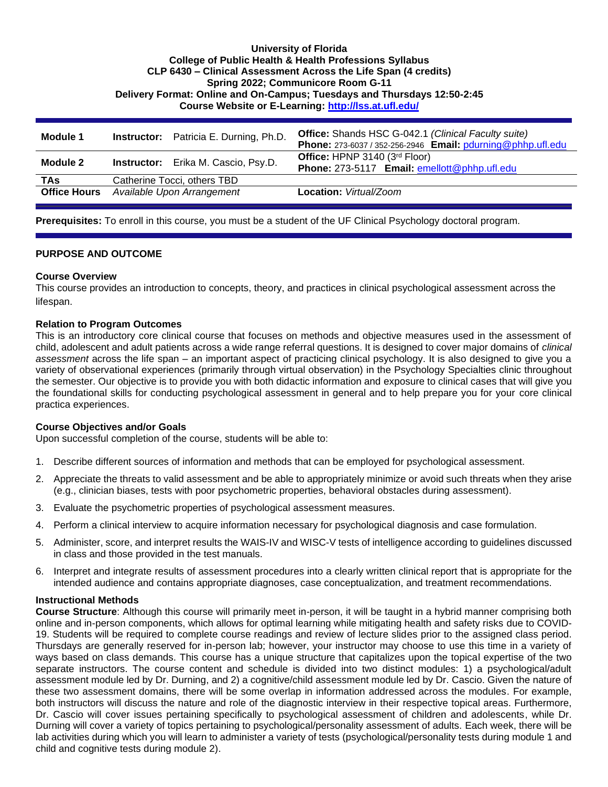### **University of Florida College of Public Health & Health Professions Syllabus CLP 6430 – Clinical Assessment Across the Life Span (4 credits) Spring 2022; Communicore Room G-11 Delivery Format: Online and On-Campus; Tuesdays and Thursdays 12:50-2:45 Course Website or E-Learning:<http://lss.at.ufl.edu/>**

| Module 1            | <b>Instructor:</b> Patricia E. Durning, Ph.D. | <b>Office:</b> Shands HSC G-042.1 (Clinical Faculty suite)<br>Phone: 273-6037 / 352-256-2946 Email: pdurning@phhp.ufl.edu |
|---------------------|-----------------------------------------------|---------------------------------------------------------------------------------------------------------------------------|
| Module 2            | <b>Instructor:</b> Erika M. Cascio, Psy.D.    | Office: HPNP 3140 (3rd Floor)<br>Phone: 273-5117 Email: emellott@phhp.ufl.edu                                             |
| TAs                 | Catherine Tocci, others TBD                   |                                                                                                                           |
| <b>Office Hours</b> | Available Upon Arrangement                    | Location: Virtual/Zoom                                                                                                    |

**Prerequisites:** To enroll in this course, you must be a student of the UF Clinical Psychology doctoral program.

### **PURPOSE AND OUTCOME**

### **Course Overview**

This course provides an introduction to concepts, theory, and practices in clinical psychological assessment across the lifespan.

#### **Relation to Program Outcomes**

This is an introductory core clinical course that focuses on methods and objective measures used in the assessment of child, adolescent and adult patients across a wide range referral questions. It is designed to cover major domains of *clinical assessment* across the life span – an important aspect of practicing clinical psychology. It is also designed to give you a variety of observational experiences (primarily through virtual observation) in the Psychology Specialties clinic throughout the semester. Our objective is to provide you with both didactic information and exposure to clinical cases that will give you the foundational skills for conducting psychological assessment in general and to help prepare you for your core clinical practica experiences.

### **Course Objectives and/or Goals**

Upon successful completion of the course, students will be able to:

- 1. Describe different sources of information and methods that can be employed for psychological assessment.
- 2. Appreciate the threats to valid assessment and be able to appropriately minimize or avoid such threats when they arise (e.g., clinician biases, tests with poor psychometric properties, behavioral obstacles during assessment).
- 3. Evaluate the psychometric properties of psychological assessment measures.
- 4. Perform a clinical interview to acquire information necessary for psychological diagnosis and case formulation.
- 5. Administer, score, and interpret results the WAIS-IV and WISC-V tests of intelligence according to guidelines discussed in class and those provided in the test manuals.
- 6. Interpret and integrate results of assessment procedures into a clearly written clinical report that is appropriate for the intended audience and contains appropriate diagnoses, case conceptualization, and treatment recommendations.

#### **Instructional Methods**

**Course Structure**: Although this course will primarily meet in-person, it will be taught in a hybrid manner comprising both online and in-person components, which allows for optimal learning while mitigating health and safety risks due to COVID-19. Students will be required to complete course readings and review of lecture slides prior to the assigned class period. Thursdays are generally reserved for in-person lab; however, your instructor may choose to use this time in a variety of ways based on class demands. This course has a unique structure that capitalizes upon the topical expertise of the two separate instructors. The course content and schedule is divided into two distinct modules: 1) a psychological/adult assessment module led by Dr. Durning, and 2) a cognitive/child assessment module led by Dr. Cascio. Given the nature of these two assessment domains, there will be some overlap in information addressed across the modules. For example, both instructors will discuss the nature and role of the diagnostic interview in their respective topical areas. Furthermore, Dr. Cascio will cover issues pertaining specifically to psychological assessment of children and adolescents, while Dr. Durning will cover a variety of topics pertaining to psychological/personality assessment of adults. Each week, there will be lab activities during which you will learn to administer a variety of tests (psychological/personality tests during module 1 and child and cognitive tests during module 2).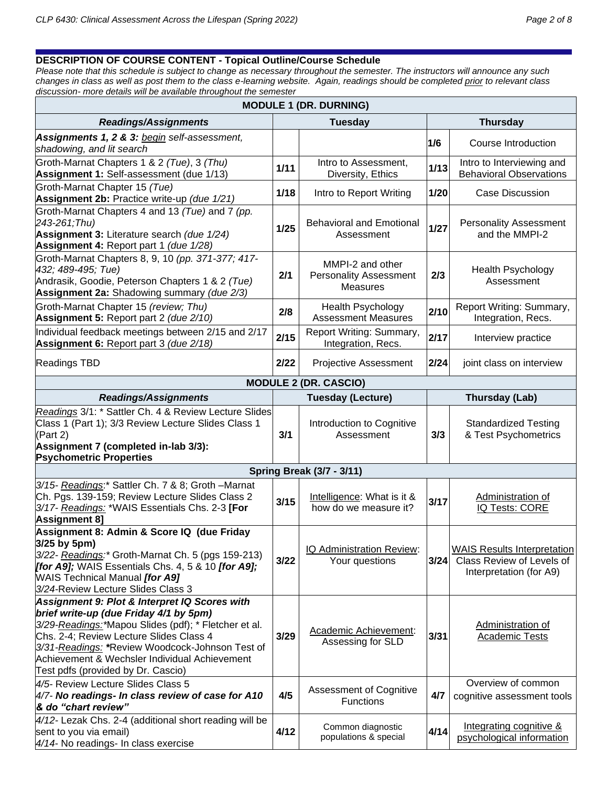# **DESCRIPTION OF COURSE CONTENT - Topical Outline/Course Schedule**

*Please note that this schedule is subject to change as necessary throughout the semester. The instructors will announce any such changes in class as well as post them to the class e-learning website. Again, readings should be completed prior to relevant class discussion- more details will be available throughout the semester*

| <b>MODULE 1 (DR. DURNING)</b>                                                                                                                                                                                                                                                                                                        |                              |                                                                      |        |                                                                                            |  |  |  |  |  |  |  |  |
|--------------------------------------------------------------------------------------------------------------------------------------------------------------------------------------------------------------------------------------------------------------------------------------------------------------------------------------|------------------------------|----------------------------------------------------------------------|--------|--------------------------------------------------------------------------------------------|--|--|--|--|--|--|--|--|
| <b>Readings/Assignments</b><br><b>Tuesday</b><br><b>Thursday</b>                                                                                                                                                                                                                                                                     |                              |                                                                      |        |                                                                                            |  |  |  |  |  |  |  |  |
| Assignments 1, 2 & 3: begin self-assessment,<br>shadowing, and lit search                                                                                                                                                                                                                                                            |                              |                                                                      | 1/6    | Course Introduction                                                                        |  |  |  |  |  |  |  |  |
| Groth-Marnat Chapters 1 & 2 (Tue), 3 (Thu)<br>Assignment 1: Self-assessment (due 1/13)                                                                                                                                                                                                                                               | 1/11                         | Intro to Assessment,<br>Diversity, Ethics                            | 1/13   | Intro to Interviewing and<br><b>Behavioral Observations</b>                                |  |  |  |  |  |  |  |  |
| Groth-Marnat Chapter 15 (Tue)<br>Assignment 2b: Practice write-up (due 1/21)                                                                                                                                                                                                                                                         | 1/18                         | Intro to Report Writing                                              | $1/20$ | <b>Case Discussion</b>                                                                     |  |  |  |  |  |  |  |  |
| Groth-Marnat Chapters 4 and 13 (Tue) and 7 (pp.<br>243-261;Thu)<br>Assignment 3: Literature search (due 1/24)<br>Assignment 4: Report part 1 (due 1/28)                                                                                                                                                                              | $1/25$                       | <b>Behavioral and Emotional</b><br>Assessment                        | 1/27   | <b>Personality Assessment</b><br>and the MMPI-2                                            |  |  |  |  |  |  |  |  |
| Groth-Marnat Chapters 8, 9, 10 (pp. 371-377; 417-<br>432; 489-495; Tue)<br>Andrasik, Goodie, Peterson Chapters 1 & 2 (Tue)<br>Assignment 2a: Shadowing summary (due 2/3)                                                                                                                                                             | 2/1                          | MMPI-2 and other<br><b>Personality Assessment</b><br><b>Measures</b> | 2/3    | <b>Health Psychology</b><br>Assessment                                                     |  |  |  |  |  |  |  |  |
| Groth-Marnat Chapter 15 (review; Thu)<br>Assignment 5: Report part 2 (due 2/10)                                                                                                                                                                                                                                                      | 2/8                          | Health Psychology<br><b>Assessment Measures</b>                      | 2/10   | Report Writing: Summary,<br>Integration, Recs.                                             |  |  |  |  |  |  |  |  |
| Individual feedback meetings between 2/15 and 2/17<br>Assignment 6: Report part 3 (due 2/18)                                                                                                                                                                                                                                         | 2/15                         | Report Writing: Summary,<br>Integration, Recs.                       | 2/17   | Interview practice                                                                         |  |  |  |  |  |  |  |  |
| Readings TBD                                                                                                                                                                                                                                                                                                                         | 2/22                         | <b>Projective Assessment</b>                                         | 2/24   | joint class on interview                                                                   |  |  |  |  |  |  |  |  |
|                                                                                                                                                                                                                                                                                                                                      | <b>MODULE 2 (DR. CASCIO)</b> |                                                                      |        |                                                                                            |  |  |  |  |  |  |  |  |
| <b>Readings/Assignments</b>                                                                                                                                                                                                                                                                                                          |                              | <b>Tuesday (Lecture)</b>                                             |        | Thursday (Lab)                                                                             |  |  |  |  |  |  |  |  |
| Readings 3/1: * Sattler Ch. 4 & Review Lecture Slides<br>Class 1 (Part 1); 3/3 Review Lecture Slides Class 1<br>(Part 2)<br>Assignment 7 (completed in-lab 3/3):<br><b>Psychometric Properties</b>                                                                                                                                   |                              | Introduction to Cognitive<br>Assessment                              | 3/3    | <b>Standardized Testing</b><br>& Test Psychometrics                                        |  |  |  |  |  |  |  |  |
|                                                                                                                                                                                                                                                                                                                                      |                              | <b>Spring Break (3/7 - 3/11)</b>                                     |        |                                                                                            |  |  |  |  |  |  |  |  |
| 3/15- Readings:* Sattler Ch. 7 & 8; Groth -Marnat<br>Ch. Pgs. 139-159; Review Lecture Slides Class 2<br>3/17- Readings: *WAIS Essentials Chs. 2-3 [For<br><b>Assignment 8]</b>                                                                                                                                                       | 3/15                         | Intelligence: What is it &<br>how do we measure it?                  | 3/17   | Administration of<br><b>IQ Tests: CORE</b>                                                 |  |  |  |  |  |  |  |  |
| Assignment 8: Admin & Score IQ (due Friday<br>3/25 by 5pm)<br>3/22- Readings:* Groth-Marnat Ch. 5 (pgs 159-213)<br>[for A9]; WAIS Essentials Chs. 4, 5 & 10 [for A9];<br>WAIS Technical Manual [for A9]<br>3/24-Review Lecture Slides Class 3                                                                                        | 3/22                         | IQ Administration Review:<br>Your questions                          | 3/24   | <b>WAIS Results Interpretation</b><br>Class Review of Levels of<br>Interpretation (for A9) |  |  |  |  |  |  |  |  |
| Assignment 9: Plot & Interpret IQ Scores with<br>brief write-up (due Friday 4/1 by 5pm)<br>3/29-Readings: Mapou Slides (pdf); * Fletcher et al.<br>Chs. 2-4; Review Lecture Slides Class 4<br>3/31-Readings: *Review Woodcock-Johnson Test of<br>Achievement & Wechsler Individual Achievement<br>Test pdfs (provided by Dr. Cascio) |                              | Academic Achievement:<br>Assessing for SLD                           | 3/31   | Administration of<br><b>Academic Tests</b>                                                 |  |  |  |  |  |  |  |  |
| 4/5- Review Lecture Slides Class 5<br>4/7- No readings- In class review of case for A10<br>& do "chart review"                                                                                                                                                                                                                       | 4/5                          | Assessment of Cognitive<br><b>Functions</b>                          | 4/7    | Overview of common<br>cognitive assessment tools                                           |  |  |  |  |  |  |  |  |
| 4/12- Lezak Chs. 2-4 (additional short reading will be<br>sent to you via email)<br>4/14- No readings- In class exercise                                                                                                                                                                                                             | 4/12                         | Common diagnostic<br>populations & special                           | 4/14   | Integrating cognitive &<br>psychological information                                       |  |  |  |  |  |  |  |  |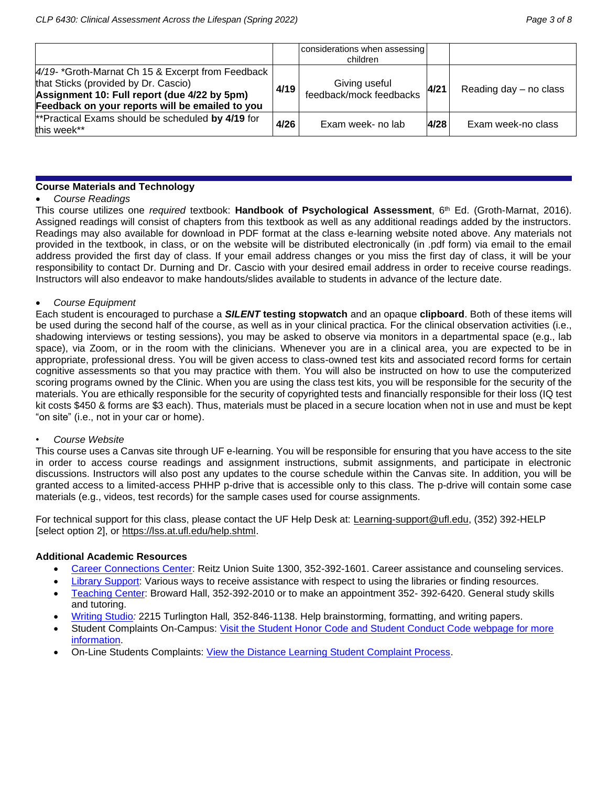|                                                                                                                                                                                             |      | considerations when assessing<br>children |      |                        |
|---------------------------------------------------------------------------------------------------------------------------------------------------------------------------------------------|------|-------------------------------------------|------|------------------------|
| 4/19-*Groth-Marnat Ch 15 & Excerpt from Feedback<br>that Sticks (provided by Dr. Cascio)<br>Assignment 10: Full report (due 4/22 by 5pm)<br>Feedback on your reports will be emailed to you | 4/19 | Giving useful<br>feedback/mock feedbacks  | 4/21 | Reading day - no class |
| **Practical Exams should be scheduled by 4/19 for<br>this week**                                                                                                                            | 4/26 | Exam week- no lab                         | 4/28 | Exam week-no class     |

### **Course Materials and Technology**

## • *Course Readings*

This course utilizes one *required* textbook: **Handbook of Psychological Assessment**, 6 th Ed. (Groth-Marnat, 2016). Assigned readings will consist of chapters from this textbook as well as any additional readings added by the instructors. Readings may also available for download in PDF format at the class e-learning website noted above. Any materials not provided in the textbook, in class, or on the website will be distributed electronically (in .pdf form) via email to the email address provided the first day of class. If your email address changes or you miss the first day of class, it will be your responsibility to contact Dr. Durning and Dr. Cascio with your desired email address in order to receive course readings. Instructors will also endeavor to make handouts/slides available to students in advance of the lecture date.

### • *Course Equipment*

Each student is encouraged to purchase a *SILENT* **testing stopwatch** and an opaque **clipboard**. Both of these items will be used during the second half of the course, as well as in your clinical practica. For the clinical observation activities (i.e., shadowing interviews or testing sessions), you may be asked to observe via monitors in a departmental space (e.g., lab space), via Zoom, or in the room with the clinicians. Whenever you are in a clinical area, you are expected to be in appropriate, professional dress. You will be given access to class-owned test kits and associated record forms for certain cognitive assessments so that you may practice with them. You will also be instructed on how to use the computerized scoring programs owned by the Clinic. When you are using the class test kits, you will be responsible for the security of the materials. You are ethically responsible for the security of copyrighted tests and financially responsible for their loss (IQ test kit costs \$450 & forms are \$3 each). Thus, materials must be placed in a secure location when not in use and must be kept "on site" (i.e., not in your car or home).

### • *Course Website*

This course uses a Canvas site through UF e-learning. You will be responsible for ensuring that you have access to the site in order to access course readings and assignment instructions, submit assignments, and participate in electronic discussions. Instructors will also post any updates to the course schedule within the Canvas site. In addition, you will be granted access to a limited-access PHHP p-drive that is accessible only to this class. The p-drive will contain some case materials (e.g., videos, test records) for the sample cases used for course assignments.

For technical support for this class, please contact the UF Help Desk at: [Learning-support@ufl.edu,](file:///C:/Users/hackg/Desktop/Learning-support@ufl.edu) (352) 392-HELP [select option 2], or [https://lss.at.ufl.edu/help.shtml.](https://lss.at.ufl.edu/help.shtml)

## **Additional Academic Resources**

- [Career Connections Center:](https://career.ufl.edu/) Reitz Union Suite 1300, 352-392-1601. Career assistance and counseling services.
- [Library Support:](https://cms.uflib.ufl.edu/ask) Various ways to receive assistance with respect to using the libraries or finding resources.
- [Teaching Center:](https://teachingcenter.ufl.edu/) Broward Hall, 352-392-2010 or to make an appointment 352- 392-6420. General study skills and tutoring.
- [Writing Studio](https://writing.ufl.edu/writing-studio/)*:* 2215 Turlington Hall*,* 352-846-1138. Help brainstorming, formatting, and writing papers.
- Student Complaints On-Campus: [Visit the Student Honor Code and Student Conduct Code webpage for more](https://sccr.dso.ufl.edu/policies/student-honor-%20code-student-conduct-code/)  [information.](https://sccr.dso.ufl.edu/policies/student-honor-%20code-student-conduct-code/)
- On-Line Students Complaints: [View the Distance Learning Student Complaint Process.](https://distance.ufl.edu/getting-help/student-complaint-process/)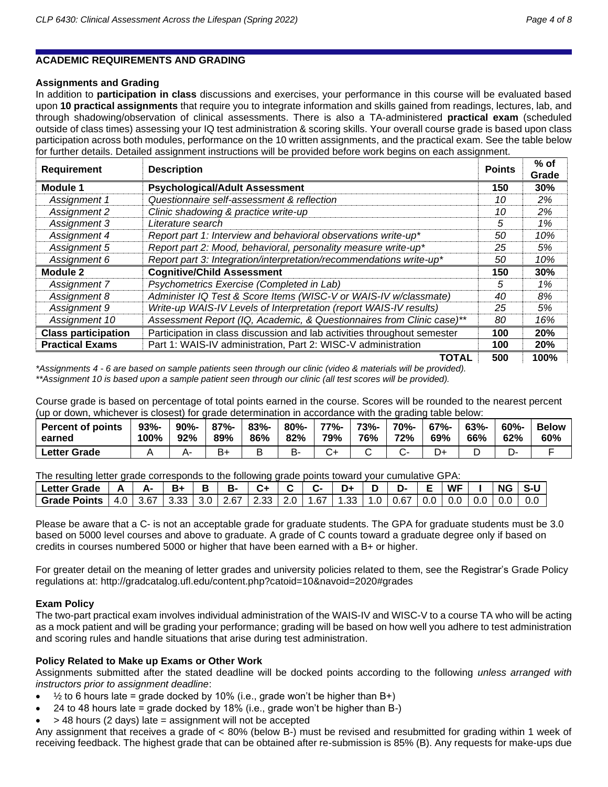# **ACADEMIC REQUIREMENTS AND GRADING**

# **Assignments and Grading**

In addition to **participation in class** discussions and exercises, your performance in this course will be evaluated based upon **10 practical assignments** that require you to integrate information and skills gained from readings, lectures, lab, and through shadowing/observation of clinical assessments. There is also a TA-administered **practical exam** (scheduled outside of class times) assessing your IQ test administration & scoring skills. Your overall course grade is based upon class participation across both modules, performance on the 10 written assignments, and the practical exam. See the table below for further details. Detailed assignment instructions will be provided before work begins on each assignment.

| <b>Requirement</b>         | <b>Points</b><br><b>Description</b>                                      |     |      |  |  |
|----------------------------|--------------------------------------------------------------------------|-----|------|--|--|
| Module 1                   | <b>Psychological/Adult Assessment</b>                                    | 150 | 30%  |  |  |
| Assignment 1               | Questionnaire self-assessment & reflection                               | 10  | 2%   |  |  |
| Assignment 2               | Clinic shadowing & practice write-up                                     | 10  | 2%   |  |  |
| Assignment 3               | Literature search                                                        | 5   | 1%   |  |  |
| Assignment 4               | Report part 1: Interview and behavioral observations write-up*           | 50  | 10%  |  |  |
| Assignment 5               | Report part 2: Mood, behavioral, personality measure write-up*           | 25  | 5%   |  |  |
| Assignment 6               | Report part 3: Integration/interpretation/recommendations write-up*      | 50  | 10%  |  |  |
| Module 2                   | <b>Cognitive/Child Assessment</b>                                        | 150 | 30%  |  |  |
| Assignment 7               | Psychometrics Exercise (Completed in Lab)                                | 5   | 1%   |  |  |
| Assignment 8               | Administer IQ Test & Score Items (WISC-V or WAIS-IV w/classmate)         | 40  | 8%   |  |  |
| Assignment 9               | Write-up WAIS-IV Levels of Interpretation (report WAIS-IV results)       | 25  | 5%   |  |  |
| Assignment 10              | Assessment Report (IQ, Academic, & Questionnaires from Clinic case)**    | 80  | 16%  |  |  |
| <b>Class participation</b> | Participation in class discussion and lab activities throughout semester | 100 | 20%  |  |  |
| <b>Practical Exams</b>     | Part 1: WAIS-IV administration, Part 2: WISC-V administration            | 100 | 20%  |  |  |
|                            | <b>TOTAL</b>                                                             | 500 | 100% |  |  |

*\*Assignments 4 - 6 are based on sample patients seen through our clinic (video & materials will be provided). \*\*Assignment 10 is based upon a sample patient seen through our clinic (all test scores will be provided).*

Course grade is based on percentage of total points earned in the course. Scores will be rounded to the nearest percent (up or down, whichever is closest) for grade determination in accordance with the grading table below:

| <b>Percent of points</b> | $93% -$ | $90% -$ | $87% -$ | $83% -$ | $80% -$ | 77%- | 73%- | 70%- | $67% -$ | $63% -$ | $60% -$ | <b>Below</b> |
|--------------------------|---------|---------|---------|---------|---------|------|------|------|---------|---------|---------|--------------|
| earned                   | 100%    | 92%     | 89%     | 86%     | 82%     | 79%  | 76%  | 72%  | 69%     | 66%     | 62%     | 60%          |
| Letter Grade             |         |         | B+      |         | כ-      |      |      |      |         |         | .       |              |

The resulting letter grade corresponds to the following grade points toward your cumulative GPA:

| Letter Grade                                                             |  | ĸ. | в- | C+ |  |  | . נ                  | <b>WF</b> | <b>NG</b> |  |
|--------------------------------------------------------------------------|--|----|----|----|--|--|----------------------|-----------|-----------|--|
| Grade Points   4.0   3.67   3.33   3.0   2.67   2.33   2.0   1.67   1.33 |  |    |    |    |  |  | ⊥ 1.0 I 0.67 I 0.0 I |           | $0.0\,$   |  |

Please be aware that a C- is not an acceptable grade for graduate students. The GPA for graduate students must be 3.0 based on 5000 level courses and above to graduate. A grade of C counts toward a graduate degree only if based on credits in courses numbered 5000 or higher that have been earned with a B+ or higher.

For greater detail on the meaning of letter grades and university policies related to them, see the Registrar's Grade Policy regulations at: http://gradcatalog.ufl.edu/content.php?catoid=10&navoid=2020#grades

## **Exam Policy**

The two-part practical exam involves individual administration of the WAIS-IV and WISC-V to a course TA who will be acting as a mock patient and will be grading your performance; grading will be based on how well you adhere to test administration and scoring rules and handle situations that arise during test administration.

## **Policy Related to Make up Exams or Other Work**

Assignments submitted after the stated deadline will be docked points according to the following *unless arranged with instructors prior to assignment deadline*:

- $\frac{1}{2}$  to 6 hours late = grade docked by 10% (i.e., grade won't be higher than B+)
- 24 to 48 hours late = grade docked by  $18\%$  (i.e., grade won't be higher than B-)
- > 48 hours (2 days) late = assignment will not be accepted

Any assignment that receives a grade of < 80% (below B-) must be revised and resubmitted for grading within 1 week of receiving feedback. The highest grade that can be obtained after re-submission is 85% (B). Any requests for make-ups due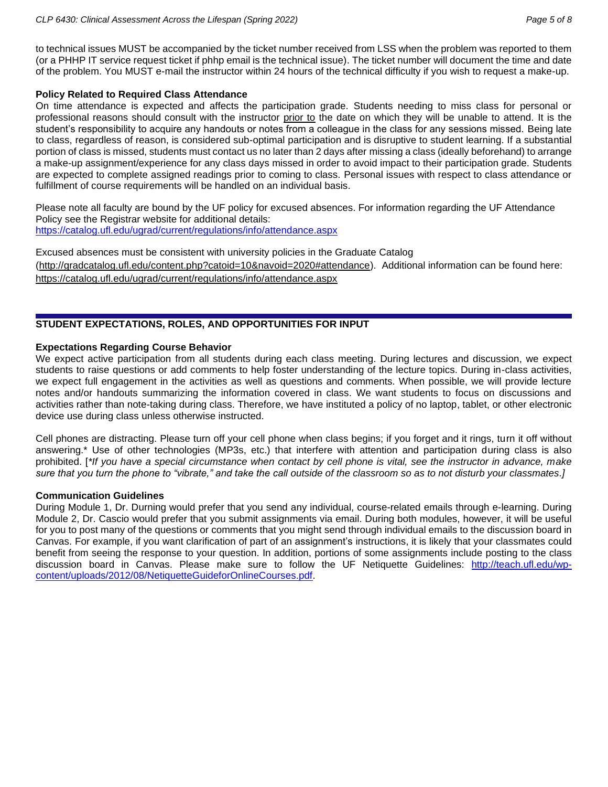to technical issues MUST be accompanied by the ticket number received from LSS when the problem was reported to them (or a PHHP IT service request ticket if phhp email is the technical issue). The ticket number will document the time and date of the problem. You MUST e-mail the instructor within 24 hours of the technical difficulty if you wish to request a make-up.

### **Policy Related to Required Class Attendance**

On time attendance is expected and affects the participation grade. Students needing to miss class for personal or professional reasons should consult with the instructor prior to the date on which they will be unable to attend. It is the student's responsibility to acquire any handouts or notes from a colleague in the class for any sessions missed. Being late to class, regardless of reason, is considered sub-optimal participation and is disruptive to student learning. If a substantial portion of class is missed, students must contact us no later than 2 days after missing a class (ideally beforehand) to arrange a make-up assignment/experience for any class days missed in order to avoid impact to their participation grade. Students are expected to complete assigned readings prior to coming to class. Personal issues with respect to class attendance or fulfillment of course requirements will be handled on an individual basis.

Please note all faculty are bound by the UF policy for excused absences. For information regarding the UF Attendance Policy see the Registrar website for additional details: <https://catalog.ufl.edu/ugrad/current/regulations/info/attendance.aspx>

Excused absences must be consistent with university policies in the Graduate Catalog [\(http://gradcatalog.ufl.edu/content.php?catoid=10&navoid=2020#attendance\)](http://gradcatalog.ufl.edu/content.php?catoid=10&navoid=2020#attendance). Additional information can be found here: <https://catalog.ufl.edu/ugrad/current/regulations/info/attendance.aspx>

# **STUDENT EXPECTATIONS, ROLES, AND OPPORTUNITIES FOR INPUT**

## **Expectations Regarding Course Behavior**

We expect active participation from all students during each class meeting. During lectures and discussion, we expect students to raise questions or add comments to help foster understanding of the lecture topics. During in-class activities, we expect full engagement in the activities as well as questions and comments. When possible, we will provide lecture notes and/or handouts summarizing the information covered in class. We want students to focus on discussions and activities rather than note-taking during class. Therefore, we have instituted a policy of no laptop, tablet, or other electronic device use during class unless otherwise instructed.

Cell phones are distracting. Please turn off your cell phone when class begins; if you forget and it rings, turn it off without answering.\* Use of other technologies (MP3s, etc.) that interfere with attention and participation during class is also prohibited. [*\*If you have a special circumstance when contact by cell phone is vital, see the instructor in advance, make sure that you turn the phone to "vibrate," and take the call outside of the classroom so as to not disturb your classmates.]*

### **Communication Guidelines**

During Module 1, Dr. Durning would prefer that you send any individual, course-related emails through e-learning. During Module 2, Dr. Cascio would prefer that you submit assignments via email. During both modules, however, it will be useful for you to post many of the questions or comments that you might send through individual emails to the discussion board in Canvas. For example, if you want clarification of part of an assignment's instructions, it is likely that your classmates could benefit from seeing the response to your question. In addition, portions of some assignments include posting to the class discussion board in Canvas. Please make sure to follow the UF Netiquette Guidelines: [http://teach.ufl.edu/wp](http://teach.ufl.edu/wp-content/uploads/2012/08/NetiquetteGuideforOnlineCourses.pdf)[content/uploads/2012/08/NetiquetteGuideforOnlineCourses.pdf.](http://teach.ufl.edu/wp-content/uploads/2012/08/NetiquetteGuideforOnlineCourses.pdf)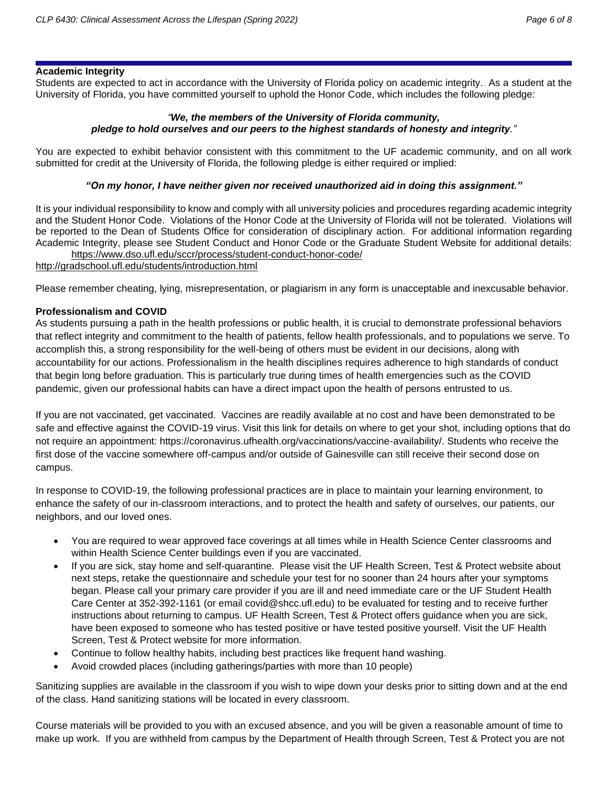# **Academic Integrity**

Students are expected to act in accordance with the University of Florida policy on academic integrity. As a student at the University of Florida, you have committed yourself to uphold the Honor Code, which includes the following pledge:

# *"We, the members of the University of Florida community, pledge to hold ourselves and our peers to the highest standards of honesty and integrity."*

You are expected to exhibit behavior consistent with this commitment to the UF academic community, and on all work submitted for credit at the University of Florida, the following pledge is either required or implied:

# *"On my honor, I have neither given nor received unauthorized aid in doing this assignment."*

It is your individual responsibility to know and comply with all university policies and procedures regarding academic integrity and the Student Honor Code. Violations of the Honor Code at the University of Florida will not be tolerated. Violations will be reported to the Dean of Students Office for consideration of disciplinary action. For additional information regarding Academic Integrity, please see Student Conduct and Honor Code or the Graduate Student Website for additional details: <https://www.dso.ufl.edu/sccr/process/student-conduct-honor-code/>

<http://gradschool.ufl.edu/students/introduction.html>

Please remember cheating, lying, misrepresentation, or plagiarism in any form is unacceptable and inexcusable behavior.

# **Professionalism and COVID**

As students pursuing a path in the health professions or public health, it is crucial to demonstrate professional behaviors that reflect integrity and commitment to the health of patients, fellow health professionals, and to populations we serve. To accomplish this, a strong responsibility for the well-being of others must be evident in our decisions, along with accountability for our actions. Professionalism in the health disciplines requires adherence to high standards of conduct that begin long before graduation. This is particularly true during times of health emergencies such as the COVID pandemic, given our professional habits can have a direct impact upon the health of persons entrusted to us.

If you are not vaccinated, get vaccinated. Vaccines are readily available at no cost and have been demonstrated to be safe and effective against the COVID-19 virus. Visit this link for details on where to get your shot, including options that do not require an appointment: https://coronavirus.ufhealth.org/vaccinations/vaccine-availability/. Students who receive the first dose of the vaccine somewhere off-campus and/or outside of Gainesville can still receive their second dose on campus.

In response to COVID-19, the following professional practices are in place to maintain your learning environment, to enhance the safety of our in-classroom interactions, and to protect the health and safety of ourselves, our patients, our neighbors, and our loved ones.

- You are required to wear approved face coverings at all times while in Health Science Center classrooms and within Health Science Center buildings even if you are vaccinated.
- If you are sick, stay home and self-quarantine. Please visit the UF Health Screen, Test & Protect website about next steps, retake the questionnaire and schedule your test for no sooner than 24 hours after your symptoms began. Please call your primary care provider if you are ill and need immediate care or the UF Student Health Care Center at 352-392-1161 (or email covid@shcc.ufl.edu) to be evaluated for testing and to receive further instructions about returning to campus. UF Health Screen, Test & Protect offers guidance when you are sick, have been exposed to someone who has tested positive or have tested positive yourself. Visit the UF Health Screen, Test & Protect website for more information.
- Continue to follow healthy habits, including best practices like frequent hand washing.
- Avoid crowded places (including gatherings/parties with more than 10 people)

Sanitizing supplies are available in the classroom if you wish to wipe down your desks prior to sitting down and at the end of the class. Hand sanitizing stations will be located in every classroom.

Course materials will be provided to you with an excused absence, and you will be given a reasonable amount of time to make up work. If you are withheld from campus by the Department of Health through Screen, Test & Protect you are not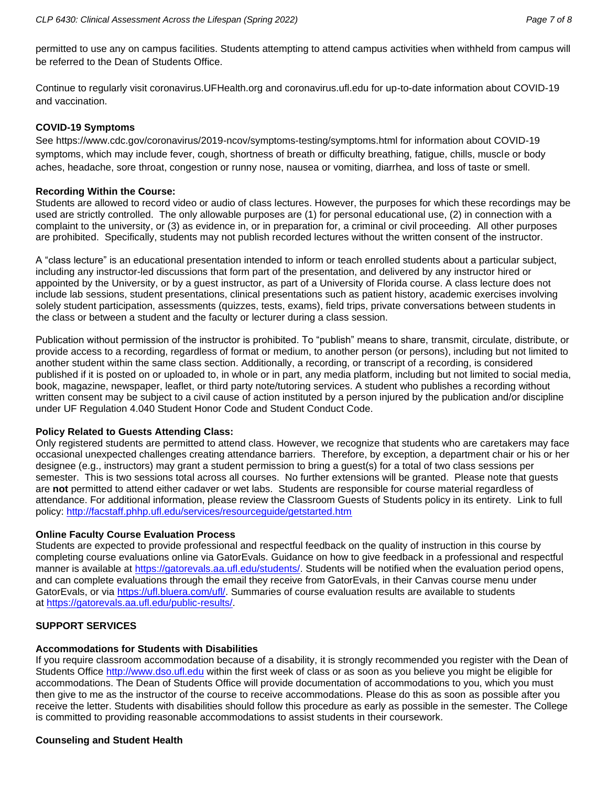permitted to use any on campus facilities. Students attempting to attend campus activities when withheld from campus will be referred to the Dean of Students Office.

Continue to regularly visit coronavirus.UFHealth.org and coronavirus.ufl.edu for up-to-date information about COVID-19 and vaccination.

### **COVID-19 Symptoms**

See https://www.cdc.gov/coronavirus/2019-ncov/symptoms-testing/symptoms.html for information about COVID-19 symptoms, which may include fever, cough, shortness of breath or difficulty breathing, fatigue, chills, muscle or body aches, headache, sore throat, congestion or runny nose, nausea or vomiting, diarrhea, and loss of taste or smell.

### **Recording Within the Course:**

Students are allowed to record video or audio of class lectures. However, the purposes for which these recordings may be used are strictly controlled. The only allowable purposes are (1) for personal educational use, (2) in connection with a complaint to the university, or (3) as evidence in, or in preparation for, a criminal or civil proceeding. All other purposes are prohibited. Specifically, students may not publish recorded lectures without the written consent of the instructor.

A "class lecture" is an educational presentation intended to inform or teach enrolled students about a particular subject, including any instructor-led discussions that form part of the presentation, and delivered by any instructor hired or appointed by the University, or by a guest instructor, as part of a University of Florida course. A class lecture does not include lab sessions, student presentations, clinical presentations such as patient history, academic exercises involving solely student participation, assessments (quizzes, tests, exams), field trips, private conversations between students in the class or between a student and the faculty or lecturer during a class session.

Publication without permission of the instructor is prohibited. To "publish" means to share, transmit, circulate, distribute, or provide access to a recording, regardless of format or medium, to another person (or persons), including but not limited to another student within the same class section. Additionally, a recording, or transcript of a recording, is considered published if it is posted on or uploaded to, in whole or in part, any media platform, including but not limited to social media, book, magazine, newspaper, leaflet, or third party note/tutoring services. A student who publishes a recording without written consent may be subject to a civil cause of action instituted by a person injured by the publication and/or discipline under UF Regulation 4.040 Student Honor Code and Student Conduct Code.

## **Policy Related to Guests Attending Class:**

Only registered students are permitted to attend class. However, we recognize that students who are caretakers may face occasional unexpected challenges creating attendance barriers. Therefore, by exception, a department chair or his or her designee (e.g., instructors) may grant a student permission to bring a guest(s) for a total of two class sessions per semester. This is two sessions total across all courses. No further extensions will be granted. Please note that guests are **not** permitted to attend either cadaver or wet labs. Students are responsible for course material regardless of attendance. For additional information, please review the Classroom Guests of Students policy in its entirety. Link to full policy:<http://facstaff.phhp.ufl.edu/services/resourceguide/getstarted.htm>

## **Online Faculty Course Evaluation Process**

Students are expected to provide professional and respectful feedback on the quality of instruction in this course by completing course evaluations online via GatorEvals. Guidance on how to give feedback in a professional and respectful manner is available at [https://gatorevals.aa.ufl.edu/students/.](https://gatorevals.aa.ufl.edu/students/) Students will be notified when the evaluation period opens, and can complete evaluations through the email they receive from GatorEvals, in their Canvas course menu under GatorEvals, or via [https://ufl.bluera.com/ufl/.](https://urldefense.proofpoint.com/v2/url?u=https-3A__ufl.bluera.com_ufl_&d=DwMFAg&c=sJ6xIWYx-zLMB3EPkvcnVg&r=y2HjEMjRMHJhfdvLrqJZlYczRsfp5e4TfQjHuc5rVHg&m=WXko6OK_Ha6T00ZVAsEaSh99qRXHOgMNFRywCoehRho&s=itVU46DDJjnIg4CW6efJOOLgPjdzsPvCghyfzJoFONs&e=) Summaries of course evaluation results are available to students at [https://gatorevals.aa.ufl.edu/public-results/.](https://gatorevals.aa.ufl.edu/public-results/)

## **SUPPORT SERVICES**

# **Accommodations for Students with Disabilities**

If you require classroom accommodation because of a disability, it is strongly recommended you register with the Dean of Students Office [http://www.dso.ufl.edu](http://www.dso.ufl.edu/) within the first week of class or as soon as you believe you might be eligible for accommodations. The Dean of Students Office will provide documentation of accommodations to you, which you must then give to me as the instructor of the course to receive accommodations. Please do this as soon as possible after you receive the letter. Students with disabilities should follow this procedure as early as possible in the semester. The College is committed to providing reasonable accommodations to assist students in their coursework.

# **Counseling and Student Health**